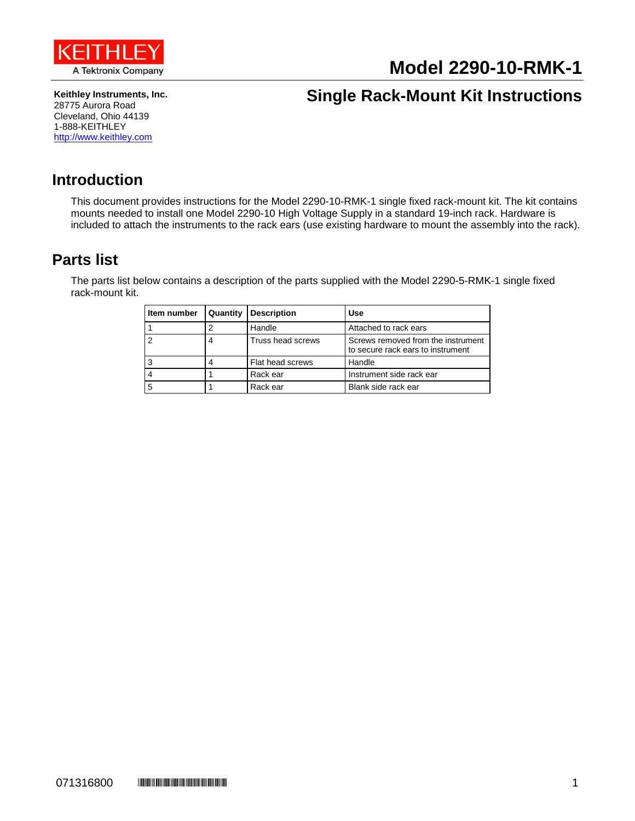

# **Model 2290-10-RMK-1**

**Keithley Instruments, Inc.** 28775 Aurora Road Cleveland, Ohio 44139 1-888-KEITHLEY [http://www.keithley.com](http://www.keithley.com/)

## **Single Rack-Mount Kit Instructions**

#### **Introduction**

This document provides instructions for the Model 2290-10-RMK-1 single fixed rack-mount kit. The kit contains mounts needed to install one Model 2290-10 High Voltage Supply in a standard 19-inch rack. Hardware is included to attach the instruments to the rack ears (use existing hardware to mount the assembly into the rack).

### <span id="page-0-0"></span>**Parts list**

The parts list below contains a description of the parts supplied with the Model 2290-5-RMK-1 single fixed rack-mount kit.

| Item number | Quantity | <b>Description</b> | Use                                                                     |
|-------------|----------|--------------------|-------------------------------------------------------------------------|
|             |          | Handle             | Attached to rack ears                                                   |
|             |          | Truss head screws  | Screws removed from the instrument<br>to secure rack ears to instrument |
|             |          | Flat head screws   | Handle                                                                  |
|             |          | Rack ear           | Instrument side rack ear                                                |
| 5           |          | Rack ear           | Blank side rack ear                                                     |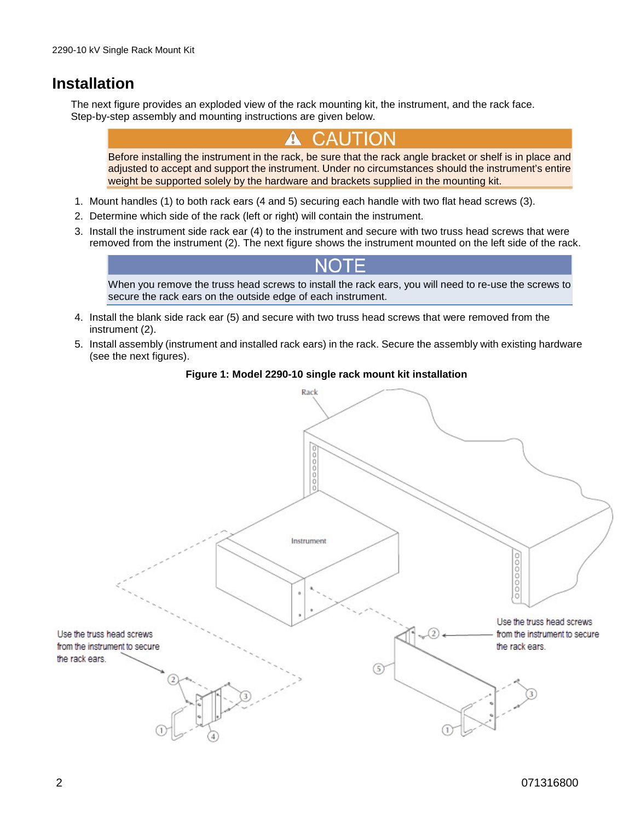### **Installation**

The next figure provides an exploded view of the rack mounting kit, the instrument, and the rack face. Step-by-step assembly and mounting instructions are given below.

Before installing the instrument in the rack, be sure that the rack angle bracket or shelf is in place and adjusted to accept and support the instrument. Under no circumstances should the instrument's entire weight be supported solely by the hardware and brackets supplied in the mounting kit.

- 1. Mount handles (1) to both rack ears (4 and 5) securing each handle with two flat head screws (3).
- 2. Determine which side of the rack (left or right) will contain the instrument.
- 3. Install the instrument side rack ear (4) to the instrument and secure with two truss head screws that were removed from the instrument (2). The next figure shows the instrument mounted on the left side of the rack.

When you remove the truss head screws to install the rack ears, you will need to re-use the screws to secure the rack ears on the outside edge of each instrument.

- 4. Install the blank side rack ear (5) and secure with two truss head screws that were removed from the instrument (2).
- 5. Install assembly (instrument and installed rack ears) in the rack. Secure the assembly with existing hardware (see the next figures).

#### **Figure 1: Model 2290-10 single rack mount kit installation**

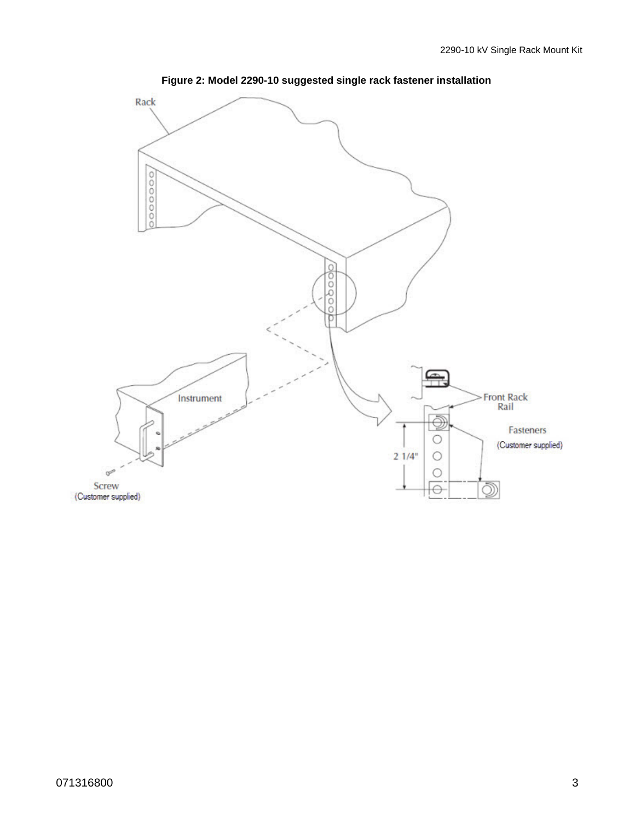

**Figure 2: Model 2290-10 suggested single rack fastener installation**